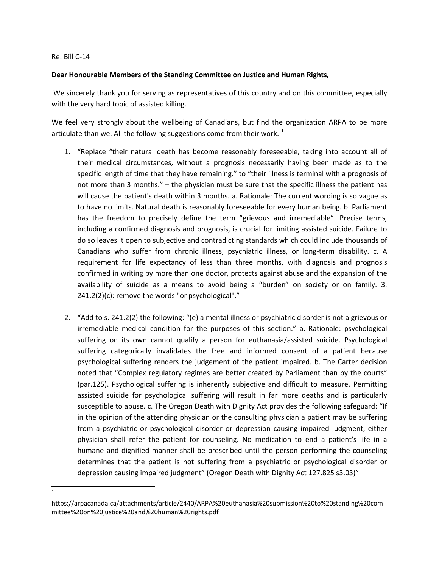## Re: Bill C-14

## **Dear Honourable Members of the Standing Committee on Justice and Human Rights,**

We sincerely thank you for serving as representatives of this country and on this committee, especially with the very hard topic of assisted killing.

We feel very strongly about the wellbeing of Canadians, but find the organization ARPA to be more articulate than we. All the following suggestions come from their work.<sup>[1](#page-0-0)</sup>

- 1. "Replace "their natural death has become reasonably foreseeable, taking into account all of their medical circumstances, without a prognosis necessarily having been made as to the specific length of time that they have remaining." to "their illness is terminal with a prognosis of not more than 3 months." – the physician must be sure that the specific illness the patient has will cause the patient's death within 3 months. a. Rationale: The current wording is so vague as to have no limits. Natural death is reasonably foreseeable for every human being. b. Parliament has the freedom to precisely define the term "grievous and irremediable". Precise terms, including a confirmed diagnosis and prognosis, is crucial for limiting assisted suicide. Failure to do so leaves it open to subjective and contradicting standards which could include thousands of Canadians who suffer from chronic illness, psychiatric illness, or long-term disability. c. A requirement for life expectancy of less than three months, with diagnosis and prognosis confirmed in writing by more than one doctor, protects against abuse and the expansion of the availability of suicide as a means to avoid being a "burden" on society or on family. 3.  $241.2(2)(c)$ : remove the words "or psychological"."
- 2. "Add to s. 241.2(2) the following: "(e) a mental illness or psychiatric disorder is not a grievous or irremediable medical condition for the purposes of this section." a. Rationale: psychological suffering on its own cannot qualify a person for euthanasia/assisted suicide. Psychological suffering categorically invalidates the free and informed consent of a patient because psychological suffering renders the judgement of the patient impaired. b. The Carter decision noted that "Complex regulatory regimes are better created by Parliament than by the courts" (par.125). Psychological suffering is inherently subjective and difficult to measure. Permitting assisted suicide for psychological suffering will result in far more deaths and is particularly susceptible to abuse. c. The Oregon Death with Dignity Act provides the following safeguard: "If in the opinion of the attending physician or the consulting physician a patient may be suffering from a psychiatric or psychological disorder or depression causing impaired judgment, either physician shall refer the patient for counseling. No medication to end a patient's life in a humane and dignified manner shall be prescribed until the person performing the counseling determines that the patient is not suffering from a psychiatric or psychological disorder or depression causing impaired judgment" (Oregon Death with Dignity Act 127.825 s3.03)"

 $\frac{1}{1}$  $\mathbf{1}$ 

<span id="page-0-0"></span>https://arpacanada.ca/attachments/article/2440/ARPA%20euthanasia%20submission%20to%20standing%20com mittee%20on%20justice%20and%20human%20rights.pdf